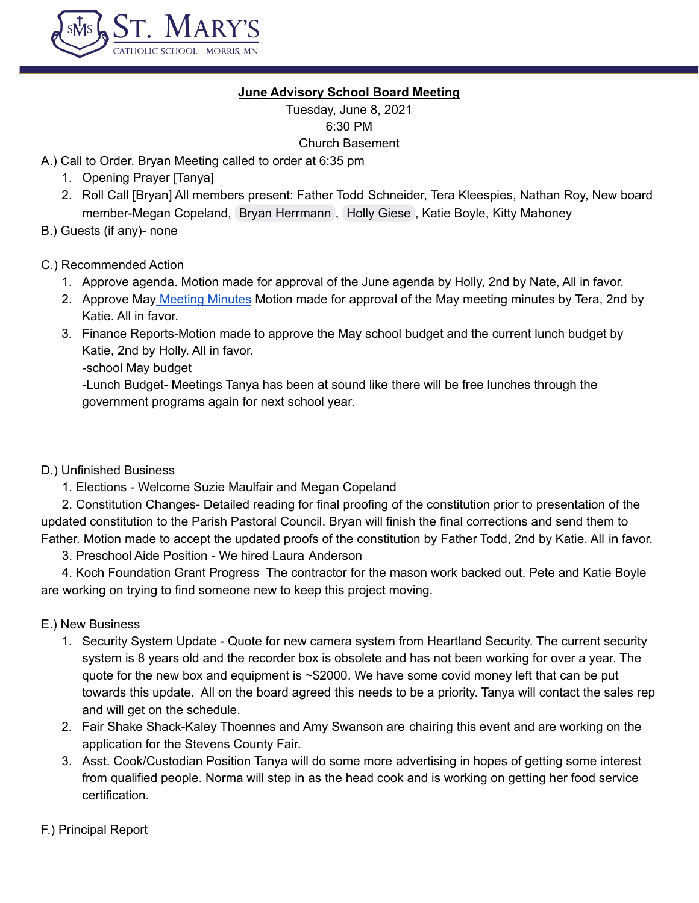

# **June Advisory School Board Meeting**

Tuesday, June 8, 2021 6:30 PM Church Basement

A.) Call to Order. Bryan Meeting called to order at 6:35 pm

- 1. Opening Prayer [Tanya]
- 2. Roll Call [Bryan] All members present: Father Todd Schneider, Tera Kleespies, Nathan Roy, New board member-Megan Copeland, Bryan [Herrmann](mailto:herrmanb@morris.umn.edu) , Holly [Giese](mailto:hollywood@fedtel.net) , Katie Boyle, Kitty Mahoney
- B.) Guests (if any)- none

# C.) Recommended Action

- 1. Approve agenda. Motion made for approval of the June agenda by Holly, 2nd by Nate, All in favor.
- 2. Approve May [Meeting](https://docs.google.com/document/d/1Bmz3JOz2jJ07ZO60_erxRtcKFZ7vmPXcD87Udn0FXRc/edit) Minutes Motion made for approval of the May meeting minutes by Tera, 2nd by Katie. All in favor.
- 3. Finance Reports-Motion made to approve the May school budget and the current lunch budget by Katie, 2nd by Holly. All in favor.

-school May budget

-Lunch Budget- Meetings Tanya has been at sound like there will be free lunches through the government programs again for next school year.

### D.) Unfinished Business

1. Elections - Welcome Suzie Maulfair and Megan Copeland

2. Constitution Changes- Detailed reading for final proofing of the constitution prior to presentation of the updated constitution to the Parish Pastoral Council. Bryan will finish the final corrections and send them to Father. Motion made to accept the updated proofs of the constitution by Father Todd, 2nd by Katie. All in favor.

3. Preschool Aide Position - We hired Laura Anderson

4. Koch Foundation Grant Progress The contractor for the mason work backed out. Pete and Katie Boyle are working on trying to find someone new to keep this project moving.

- E.) New Business
	- 1. Security System Update Quote for new camera system from Heartland Security. The current security system is 8 years old and the recorder box is obsolete and has not been working for over a year. The quote for the new box and equipment is ~\$2000. We have some covid money left that can be put towards this update. All on the board agreed this needs to be a priority. Tanya will contact the sales rep and will get on the schedule.
	- 2. Fair Shake Shack-Kaley Thoennes and Amy Swanson are chairing this event and are working on the application for the Stevens County Fair.
	- 3. Asst. Cook/Custodian Position Tanya will do some more advertising in hopes of getting some interest from qualified people. Norma will step in as the head cook and is working on getting her food service certification.
- F.) Principal Report